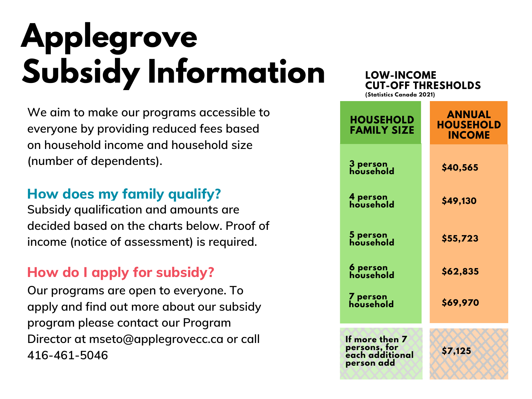# **Applegrove Subsidy Information**

**We aim to make our programs accessible to everyone by providing reduced fees based on household income and household size (number of dependents).**

#### **How does my family qualify?**

**Subsidy qualification and amounts are decided based on the charts below. Proof of income (notice of assessment) is required.**

#### **How do I apply for subsidy?**

**Our programs are open to everyone. To apply and find out more about our subsidy program please contact our Program Director at [mseto@applegrovecc.ca](mailto:mseto@applegrovecc.ca) or call 416-461-5046**

**If more then 7 persons, for ANNUAL HOUSEHOLD INCOME 3 person household 6 person household 4 person household 5 person household 7 person household \$40,565 \$49,130 \$55,723 \$62,835 \$69,970 HOUSEHOLD FAMILY SIZE LOW-INCOME CUT-OFF THRESHOLDS (Statistics Canada 2021)**

**\$7,125**

**each additional person add**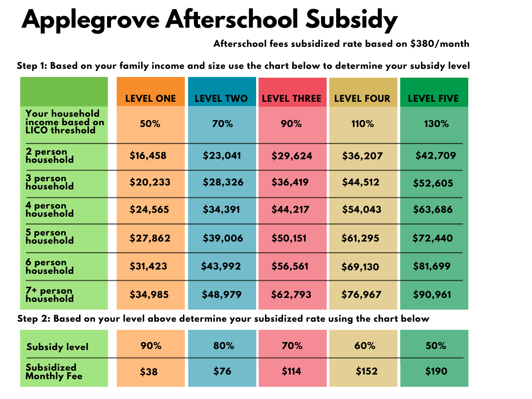### **Applegrove Afterschool Subsidy**

**Afterschool fees subsidized rate based on \$380/month**

**Step 1: Based on your family income and size use the chart below to determine your subsidy level**

|                                                                   | <b>LEVEL ONE</b> | <b>LEVEL TWO</b> | <b>LEVEL THREE</b> | <b>LEVEL FOUR</b> | <b>LEVEL FIVE</b> |
|-------------------------------------------------------------------|------------------|------------------|--------------------|-------------------|-------------------|
| <b>Your household</b><br>income based on<br><b>LICO threshold</b> | 50%              | 70%              | 90%                | 110%              | 130%              |
| 2 person<br>household                                             | \$16,458         | \$23,041         | \$29,624           | \$36,207          | \$42,709          |
| 3 person<br>household                                             | \$20,233         | \$28,326         | \$36,419           | \$44,512          | \$52,605          |
| 4 person<br>household                                             | \$24,565         | \$34,391         | \$44,217           | \$54,043          | \$63,686          |
| 5 person<br>household                                             | \$27,862         | \$39,006         | \$50,151           | \$61,295          | \$72,440          |
| 6 person<br>household                                             | \$31,423         | \$43,992         | \$56,561           | \$69,130          | \$81,699          |
| 7+ person<br>household                                            | \$34,985         | \$48,979         | \$62,793           | \$76,967          | \$90,961          |

**Step 2: Based on your level above determine your subsidized rate using the chart below**

| <b>Subsidy level</b>                    | 90%  | 80%  | 70%   | 60%   | 50%   |
|-----------------------------------------|------|------|-------|-------|-------|
| <b>Subsidized</b><br><b>Monthly Fee</b> | \$38 | \$76 | \$114 | \$152 | \$190 |